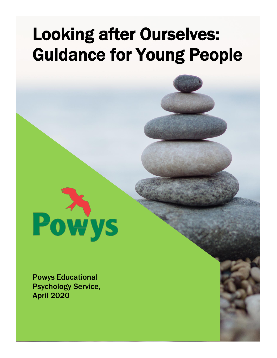# Looking after Ourselves: Guidance for Young People



Powys Educational Psychology Service, April 2020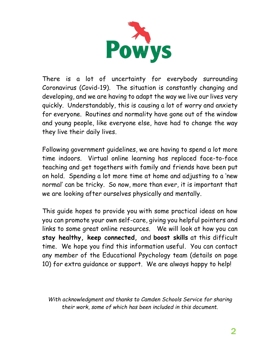

There is a lot of uncertainty for everybody surrounding Coronavirus (Covid-19). The situation is constantly changing and developing, and we are having to adapt the way we live our lives very quickly. Understandably, this is causing a lot of worry and anxiety for everyone. Routines and normality have gone out of the window and young people, like everyone else, have had to change the way they live their daily lives.

Following government guidelines, we are having to spend a lot more time indoors. Virtual online learning has replaced face-to-face teaching and get togethers with family and friends have been put on hold. Spending a lot more time at home and adjusting to a 'new normal' can be tricky. So now, more than ever, it is important that we are looking after ourselves physically and mentally.

This guide hopes to provide you with some practical ideas on how you can promote your own self-care, giving you helpful pointers and links to some great online resources. We will look at how you can **stay healthy, keep connected,** and **boost skills** at this difficult time. We hope you find this information useful. You can contact any member of the Educational Psychology team (details on page 10) for extra guidance or support. We are always happy to help!

*With acknowledgment and thanks to Camden Schools Service for sharing their work, some of which has been included in this document.*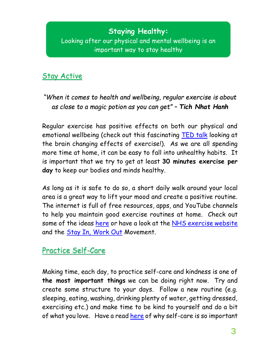# **Staying Healthy:** Looking after our physical and mental wellbeing is an important way to stay healthy

### Stay Active

#### *"When it comes to health and wellbeing, regular exercise is about as close to a magic potion as you can get" – Tich Nhat Hanh*

Regular exercise has positive effects on both our physical and emotional wellbeing (check out this fascinating [TED talk](https://www.youtube.com/watch?v=BHY0FxzoKZE&feature=youtu.be) looking at the brain changing effects of exercise!). As we are all spending more time at home, it can be easy to fall into unhealthy habits. It is important that we try to get at least **30 minutes exercise per day** to keep our bodies and minds healthy.

As long as it is safe to do so, a short daily walk around your local area is a great way to lift your mood and create a positive routine. The internet is full of free resources, apps, and YouTube channels to help you maintain good exercise routines at home. Check out some of the ideas [here](https://www.independent.co.uk/life-style/health-and-families/coronavirus-home-workout-exercise-class-yoga-dance-kids-elderly-joe-wicks-a9421126.html) or have a look at the [NHS exercise website](https://www.nhs.uk/live-well/exercise/free-fitness-ideas/) and the [Stay In, Work Out](https://www.sportengland.org/stayinworkout) Movement.

### Practice Self-Care

Making time, each day, to practice self-care and kindness is one of **the most important things** we can be doing right now. Try and create some structure to your days. Follow a new routine (e.g. sleeping, eating, washing, drinking plenty of water, getting dressed, exercising etc.) and make time to be kind to yourself and do a bit of what you love. Have a read [here](https://www.actionforhappiness.org/news/whyself-careisvitaltoourmentalwellbeing) of why self-care is so important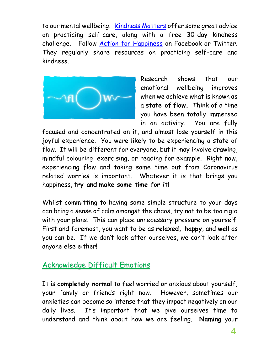to our mental wellbeing. [Kindness Matters](https://kindnessmatters.co.uk/freebies/) offer some great advice on practicing self-care, along with a free 30-day kindness challenge. Follow [Action for Happiness](https://www.actionforhappiness.org/) on Facebook or Twitter. They regularly share resources on practicing self-care and kindness.



Research shows that our emotional wellbeing improves when we achieve what is known as a **state of flow.** Think of a time you have been totally immersed in an activity. You are fully

focused and concentrated on it, and almost lose yourself in this joyful experience. You were likely to be experiencing a state of flow. It will be different for everyone, but it may involve drawing, mindful colouring, exercising, or reading for example. Right now, experiencing flow and taking some time out from Coronavirus related worries is important. Whatever it is that brings you happiness, **try and make some time for it!**

Whilst committing to having some simple structure to your days can bring a sense of calm amongst the chaos, try not to be too rigid with your plans. This can place unnecessary pressure on yourself. First and foremost, you want to be as **relaxed, happy**, and **well** as you can be. If we don't look after ourselves, we can't look after anyone else either!

#### Acknowledge Difficult Emotions

It is **completely normal** to feel worried or anxious about yourself, your family or friends right now. However, sometimes our anxieties can become so intense that they impact negatively on our daily lives. It's important that we give ourselves time to understand and think about how we are feeling. **Naming** your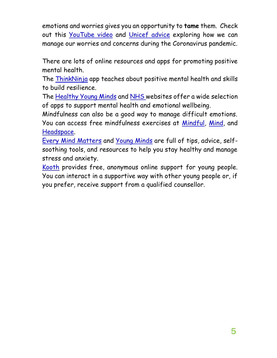emotions and worries gives you an opportunity to **tame** them. Check out this [YouTube video](https://www.youtube.com/watch?v=88ja6KH0ULg) and [Unicef advice](https://www.unicef.org/coronavirus/how-teenagers-can-protect-their-mental-health-during-coronavirus-covid-19) exploring how we can manage our worries and concerns during the Coronavirus pandemic.

There are lots of online resources and apps for promoting positive mental health.

The [ThinkNinja](https://www.healios.org.uk/services/thinkninja1) app teaches about positive mental health and skills to build resilience.

The [Healthy Young Minds](https://healthyyoungmindspennine.nhs.uk/resource-centre/apps/) and [NHS w](https://www.nhs.uk/apps-library/category/mental-health/)ebsites offer a wide selection of apps to support mental health and emotional wellbeing.

Mindfulness can also be a good way to manage difficult emotions. You can access free mindfulness exercises at [Mindful,](https://www.mindful.org/) [Mind,](https://www.mind.org.uk/information-support/drugs-and-treatments/mindfulness/about-mindfulness/) and [Headspace.](https://www.headspace.com/)

[Every Mind Matters](https://www.nhs.uk/oneyou/every-mind-matters/) and [Young Minds](https://youngminds.org.uk/) are full of tips, advice, selfsoothing tools, and resources to help you stay healthy and manage stress and anxiety.

[Kooth](https://www.kooth.com/) provides free, anonymous online support for young people. You can interact in a supportive way with other young people or, if you prefer, receive support from a qualified counsellor.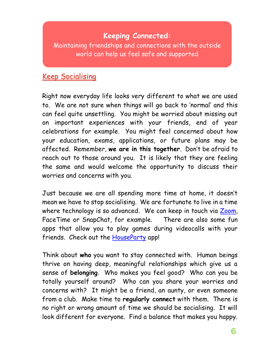# **Keeping Connected:**

Maintaining friendships and connections with the outside world can help us feel safe and supported

### Keep Socialising

Right now everyday life looks very different to what we are used to. We are not sure when things will go back to 'normal' and this can feel quite unsettling. You might be worried about missing out on important experiences with your friends, end of year celebrations for example. You might feel concerned about how your education, exams, applications, or future plans may be affected. Remember, **we are in this together**. Don't be afraid to reach out to those around you. It is likely that they are feeling the same and would welcome the opportunity to discuss their worries and concerns with you.

Just because we are all spending more time at home, it doesn't mean we have to stop socialising. We are fortunate to live in a time where technology is so advanced. We can keep in touch via [Zoom,](https://zoom.us/) FaceTime or SnapChat, for example. There are also some fun apps that allow you to play games during videocalls with your friends. Check out the [HouseParty](https://app.houseparty.com/login) app!

Think about **who** you want to stay connected with. Human beings thrive on having deep, meaningful relationships which give us a sense of **belonging**. Who makes you feel good? Who can you be totally yourself around? Who can you share your worries and concerns with? It might be a friend, an aunty, or even someone from a club. Make time to **regularly connect** with them. There is no right or wrong amount of time we should be socialising. It will look different for everyone. Find a balance that makes you happy.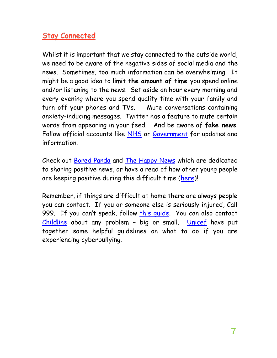# Stay Connected

Whilst it is important that we stay connected to the outside world, we need to be aware of the negative sides of social media and the news. Sometimes, too much information can be overwhelming. It might be a good idea to **limit the amount of time** you spend online and/or listening to the news. Set aside an hour every morning and every evening where you spend quality time with your family and turn off your phones and TVs. Mute conversations containing anxiety-inducing messages. Twitter has a feature to mute certain words from appearing in your feed. And be aware of **fake news**. Follow official accounts like [NHS](https://www.nhs.uk/) or [Government](https://www.gov.uk/) for updates and information.

Check out [Bored Panda](https://www.boredpanda.com/?utm_source=bing&utm_medium=organic&utm_campaign=organic) and [The Happy News](https://thehappynewspaper.com/) which are dedicated to sharing positive news, or have a read of how other young people are keeping positive during this difficult time [\(here\)](https://www.voicesofyouth.org/campaign/studying-home-due-coronavirus-how-young-people-around-world-are-keeping-their-mood)!

Remember, if things are difficult at home there are always people you can contact. If you or someone else is seriously injured, Call 999. If you can't speak, follow [this guide.](https://www.policeconduct.gov.uk/sites/default/files/Documents/research-learning/Silent_solution_guide.pdf) You can also contact [Childline](https://www.childline.org.uk/) about any problem - big or small. [Unicef](https://www.unicef.org/end-violence/how-to-stop-cyberbullying) have put together some helpful guidelines on what to do if you are experiencing cyberbullying.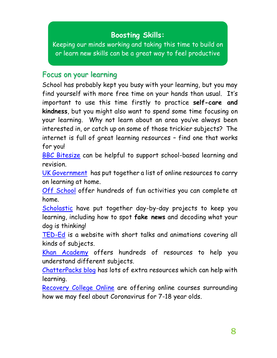# **Boosting Skills:**

Keeping our minds working and taking this time to build on or learn new skills can be a great way to feel productive

#### Focus on your learning

School has probably kept you busy with your learning, but you may find yourself with more free time on your hands than usual. It's important to use this time firstly to practice **self-care and kindness**, but you might also want to spend some time focusing on your learning. Why not learn about an area you've always been interested in, or catch up on some of those trickier subjects? The internet is full of great learning resources – find one that works for you!

[BBC Bitesize](https://www.bbc.co.uk/bitesize) can be helpful to support school-based learning and revision.

[UK Government](https://www.gov.uk/government/publications/coronavirus-covid-19-online-education-resources) has put together a list of online resources to carry on learning at home.

[Off School](https://offschool.org.uk/) offer hundreds of fun activities you can complete at home.

[Scholastic](https://classroommagazines.scholastic.com/support/learnathome.html) have put together day-by-day projects to keep you learning, including how to spot **fake news** and decoding what your dog is thinking!

[TED-Ed](https://ed.ted.com/) is a website with short talks and animations covering all kinds of subjects.

[Khan Academy](https://www.khanacademy.org/) offers hundreds of resources to help you understand different subjects.

[ChatterPacks blog](https://chatterpack.net/blogs/blog) has lots of extra resources which can help with learning.

[Recovery College Online](https://lms.recoverycollegeonline.co.uk/course/index.php?categoryid=13) are offering online courses surrounding how we may feel about Coronavirus for 7-18 year olds.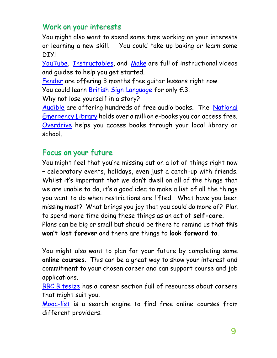# Work on your interests

You might also want to spend some time working on your interests or learning a new skill. You could take up baking or learn some **DIYI** 

[YouTube,](https://www.youtube.com/) [Instructables,](https://www.instructables.com/) and [Make](https://makezine.com/) are full of instructional videos and guides to help you get started.

[Fender](https://try.fender.com/play/playthrough/) are offering 3 months free guitar lessons right now. You could learn [British Sign Language](https://british-sign.zendesk.com/hc/en-us/articles/360044794654-Coronavirus-Crisis-Discounted-Free-Enrolments) for only £3.

Why not lose yourself in a story?

[Audible](https://stories.audible.com/discovery) are offering hundreds of free audio books. The [National](https://archive.org/details/nationalemergencylibrary)  [Emergency Library](https://archive.org/details/nationalemergencylibrary) holds over a million e-books you can access free. [Overdrive](https://www.overdrive.com/) helps you access books through your local library or school.

#### Focus on your future

You might feel that you're missing out on a lot of things right now – celebratory events, holidays, even just a catch-up with friends. Whilst it's important that we don't dwell on all of the things that we are unable to do, it's a good idea to make a list of all the things you want to do when restrictions are lifted. What have you been missing most? What brings you joy that you could do more of? Plan to spend more time doing these things as an act of **self-care**. Plans can be big or small but should be there to remind us that **this won't last forever** and there are things to **look forward to**.

You might also want to plan for your future by completing some **online courses**. This can be a great way to show your interest and commitment to your chosen career and can support course and job applications.

[BBC Bitesize](https://www.bbc.co.uk/bitesize/careers) has a career section full of resources about careers that might suit you.

[Mooc-list](https://www.mooc-list.com/?__cf_chl_jschl_tk__=8e6f648b4fa23b383697c718b5c600986540f954-1587466480-0-AfvWlslO9YAzsFFQC5mmEPANlj_wId0f1gsdHTlMWIBJcHgYpgKNEsVar1ZBoYdT8Sk3yz4L1ZDfVsV4KTmCXItg4RGSYbbgJAMjb8Zp9fSvolEkerBu117JYsmKzU9prf8oivVftsLpSLrbn8vx_dJadR45cfnNW_ZB1J9-JyhcoM_sGPAn7gb9jTK66JjNQeyPpXmpeoi2GkbgMH9UvbCk6OCypQJJ16twq3CcRElGdh0DrmfkLyM9fSExC1PflzAoVBy_JksnOcKZ1SLAcUA) is a search engine to find free online courses from different providers.